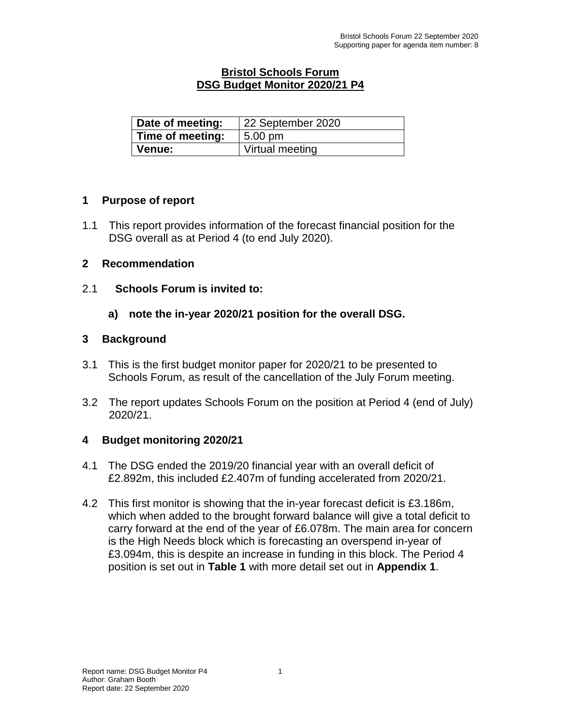### **Bristol Schools Forum DSG Budget Monitor 2020/21 P4**

| Date of meeting: | 22 September 2020 |
|------------------|-------------------|
| Time of meeting: | $5.00 \text{ pm}$ |
| <b>Venue:</b>    | Virtual meeting   |

### **1 Purpose of report**

1.1 This report provides information of the forecast financial position for the DSG overall as at Period 4 (to end July 2020).

### **2 Recommendation**

- 2.1 **Schools Forum is invited to:**
	- **a) note the in-year 2020/21 position for the overall DSG.**

## **3 Background**

- 3.1 This is the first budget monitor paper for 2020/21 to be presented to Schools Forum, as result of the cancellation of the July Forum meeting.
- 3.2 The report updates Schools Forum on the position at Period 4 (end of July) 2020/21.

# **4 Budget monitoring 2020/21**

- 4.1 The DSG ended the 2019/20 financial year with an overall deficit of £2.892m, this included £2.407m of funding accelerated from 2020/21.
- 4.2 This first monitor is showing that the in-year forecast deficit is £3.186m, which when added to the brought forward balance will give a total deficit to carry forward at the end of the year of £6.078m. The main area for concern is the High Needs block which is forecasting an overspend in-year of £3.094m, this is despite an increase in funding in this block. The Period 4 position is set out in **Table 1** with more detail set out in **Appendix 1**.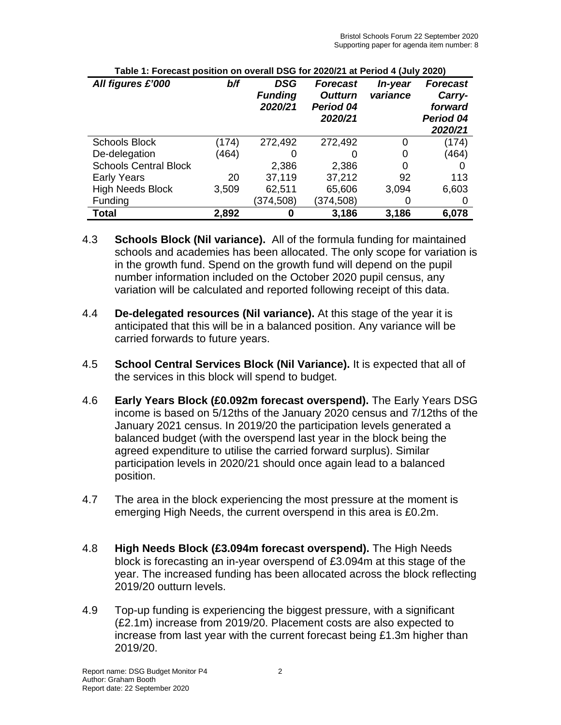| All figures £'000            | b/f   | DSG<br><b>Funding</b><br>2020/21 | <b>Forecast</b><br><b>Outturn</b><br>Period 04<br>2020/21 | In-year<br>variance | <b>Forecast</b><br>Carry-<br>forward<br>Period 04<br>2020/21 |
|------------------------------|-------|----------------------------------|-----------------------------------------------------------|---------------------|--------------------------------------------------------------|
| <b>Schools Block</b>         | (174) | 272,492                          | 272,492                                                   | 0                   | (174)                                                        |
| De-delegation                | (464) |                                  |                                                           | 0                   | (464)                                                        |
| <b>Schools Central Block</b> |       | 2,386                            | 2,386                                                     | 0                   |                                                              |
| <b>Early Years</b>           | 20    | 37,119                           | 37,212                                                    | 92                  | 113                                                          |
| <b>High Needs Block</b>      | 3,509 | 62,511                           | 65,606                                                    | 3,094               | 6,603                                                        |
| Funding                      |       | (374, 508)                       | (374, 508)                                                |                     |                                                              |
| <b>Total</b>                 | 2,892 |                                  | 3,186                                                     | 3,186               | 6,078                                                        |

| Table 1: Forecast position on overall DSG for 2020/21 at Period 4 (July 2020) |  |  |
|-------------------------------------------------------------------------------|--|--|
|-------------------------------------------------------------------------------|--|--|

- 4.3 **Schools Block (Nil variance).** All of the formula funding for maintained schools and academies has been allocated. The only scope for variation is in the growth fund. Spend on the growth fund will depend on the pupil number information included on the October 2020 pupil census, any variation will be calculated and reported following receipt of this data.
- 4.4 **De-delegated resources (Nil variance).** At this stage of the year it is anticipated that this will be in a balanced position. Any variance will be carried forwards to future years.
- 4.5 **School Central Services Block (Nil Variance).** It is expected that all of the services in this block will spend to budget.
- 4.6 **Early Years Block (£0.092m forecast overspend).** The Early Years DSG income is based on 5/12ths of the January 2020 census and 7/12ths of the January 2021 census. In 2019/20 the participation levels generated a balanced budget (with the overspend last year in the block being the agreed expenditure to utilise the carried forward surplus). Similar participation levels in 2020/21 should once again lead to a balanced position.
- 4.7 The area in the block experiencing the most pressure at the moment is emerging High Needs, the current overspend in this area is £0.2m.
- 4.8 **High Needs Block (£3.094m forecast overspend).** The High Needs block is forecasting an in-year overspend of £3.094m at this stage of the year. The increased funding has been allocated across the block reflecting 2019/20 outturn levels.
- 4.9 Top-up funding is experiencing the biggest pressure, with a significant (£2.1m) increase from 2019/20. Placement costs are also expected to increase from last year with the current forecast being £1.3m higher than 2019/20.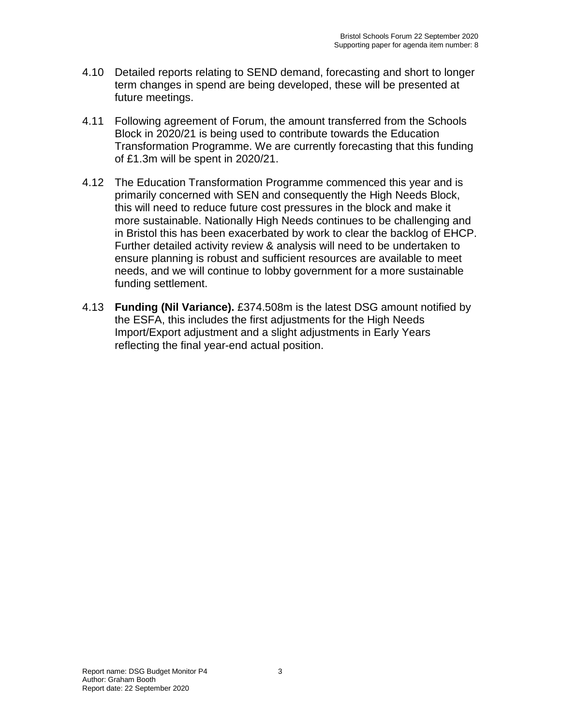- 4.10 Detailed reports relating to SEND demand, forecasting and short to longer term changes in spend are being developed, these will be presented at future meetings.
- 4.11 Following agreement of Forum, the amount transferred from the Schools Block in 2020/21 is being used to contribute towards the Education Transformation Programme. We are currently forecasting that this funding of £1.3m will be spent in 2020/21.
- 4.12 The Education Transformation Programme commenced this year and is primarily concerned with SEN and consequently the High Needs Block, this will need to reduce future cost pressures in the block and make it more sustainable. Nationally High Needs continues to be challenging and in Bristol this has been exacerbated by work to clear the backlog of EHCP. Further detailed activity review & analysis will need to be undertaken to ensure planning is robust and sufficient resources are available to meet needs, and we will continue to lobby government for a more sustainable funding settlement.
- 4.13 **Funding (Nil Variance).** £374.508m is the latest DSG amount notified by the ESFA, this includes the first adjustments for the High Needs Import/Export adjustment and a slight adjustments in Early Years reflecting the final year-end actual position.